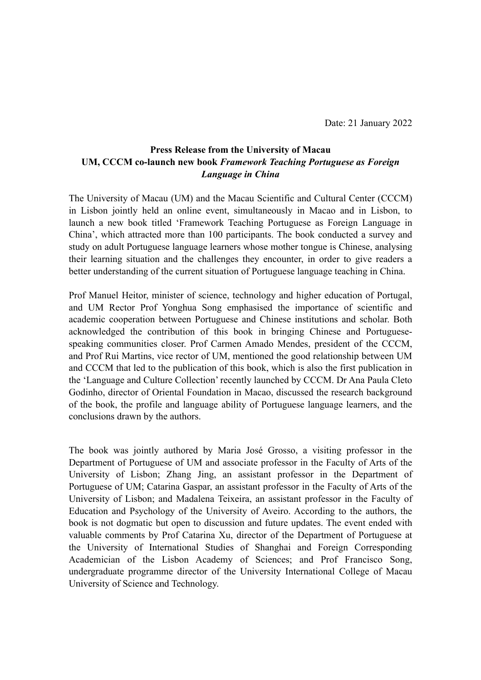Date: 21 January 2022

## **Press Release from the University of Macau UM, CCCM co-launch new book** *Framework Teaching Portuguese as Foreign Language in China*

The University of Macau (UM) and the Macau Scientific and Cultural Center (CCCM) in Lisbon jointly held an online event, simultaneously in Macao and in Lisbon, to launch a new book titled 'Framework Teaching Portuguese as Foreign Language in China', which attracted more than 100 participants. The book conducted a survey and study on adult Portuguese language learners whose mother tongue is Chinese, analysing their learning situation and the challenges they encounter, in order to give readers a better understanding of the current situation of Portuguese language teaching in China.

Prof Manuel Heitor, minister of science, technology and higher education of Portugal, and UM Rector Prof Yonghua Song emphasised the importance of scientific and academic cooperation between Portuguese and Chinese institutions and scholar. Both acknowledged the contribution of this book in bringing Chinese and Portuguesespeaking communities closer. Prof Carmen Amado Mendes, president of the CCCM, and Prof Rui Martins, vice rector of UM, mentioned the good relationship between UM and CCCM that led to the publication of this book, which is also the first publication in the 'Language and Culture Collection' recently launched by CCCM. Dr Ana Paula Cleto Godinho, director of Oriental Foundation in Macao, discussed the research background of the book, the profile and language ability of Portuguese language learners, and the conclusions drawn by the authors.

The book was jointly authored by Maria José Grosso, a visiting professor in the Department of Portuguese of UM and associate professor in the Faculty of Arts of the University of Lisbon; Zhang Jing, an assistant professor in the Department of Portuguese of UM; Catarina Gaspar, an assistant professor in the Faculty of Arts of the University of Lisbon; and Madalena Teixeira, an assistant professor in the Faculty of Education and Psychology of the University of Aveiro. According to the authors, the book is not dogmatic but open to discussion and future updates. The event ended with valuable comments by Prof Catarina Xu, director of the Department of Portuguese at the University of International Studies of Shanghai and Foreign Corresponding Academician of the Lisbon Academy of Sciences; and Prof Francisco Song, undergraduate programme director of the University International College of Macau University of Science and Technology.